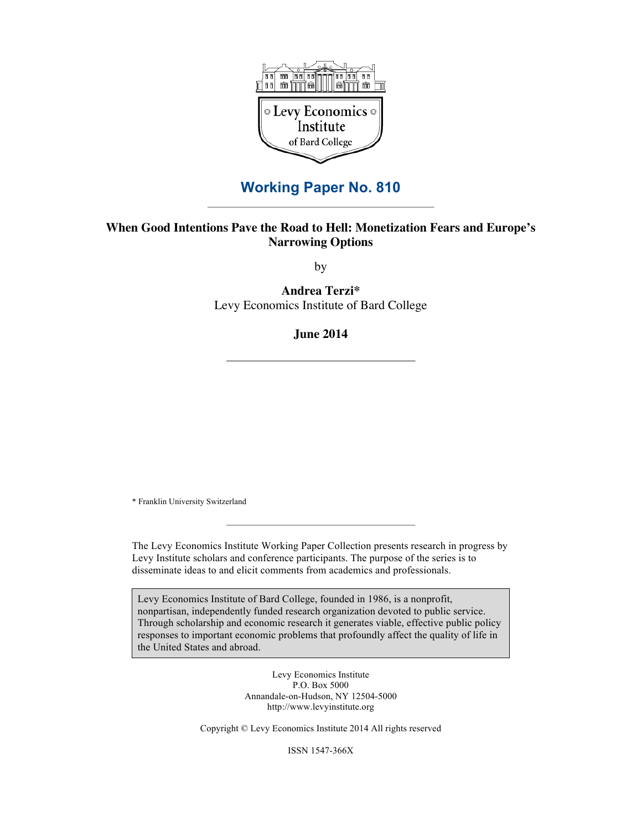

## **Working Paper No. 810**

### **When Good Intentions Pave the Road to Hell: Monetization Fears and Europe's Narrowing Options**

by

**Andrea Terzi\*** Levy Economics Institute of Bard College

**June 2014**

\* Franklin University Switzerland

The Levy Economics Institute Working Paper Collection presents research in progress by Levy Institute scholars and conference participants. The purpose of the series is to disseminate ideas to and elicit comments from academics and professionals.

Levy Economics Institute of Bard College, founded in 1986, is a nonprofit, nonpartisan, independently funded research organization devoted to public service. Through scholarship and economic research it generates viable, effective public policy responses to important economic problems that profoundly affect the quality of life in the United States and abroad.

> Levy Economics Institute P.O. Box 5000 Annandale-on-Hudson, NY 12504-5000 http://www.levyinstitute.org

Copyright © Levy Economics Institute 2014 All rights reserved

ISSN 1547-366X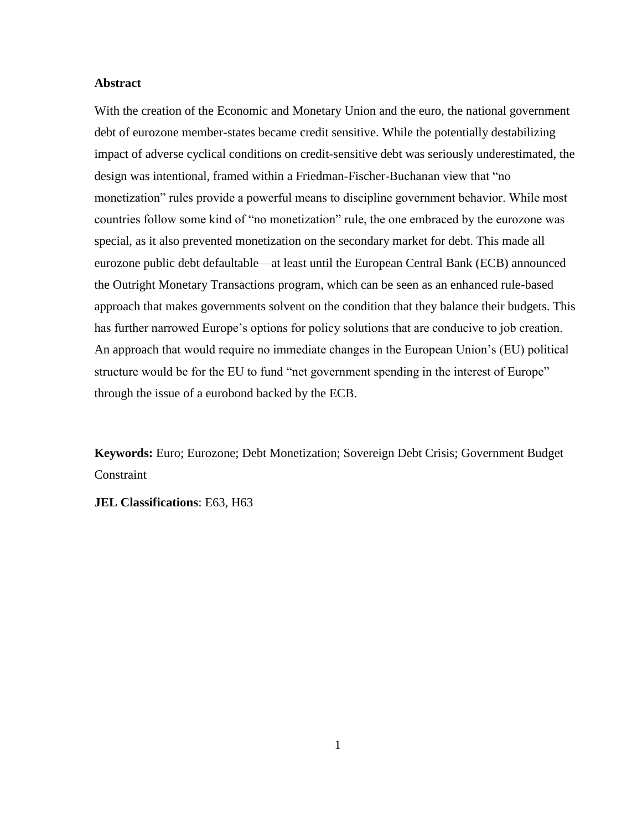#### **Abstract**

With the creation of the Economic and Monetary Union and the euro, the national government debt of eurozone member-states became credit sensitive. While the potentially destabilizing impact of adverse cyclical conditions on credit-sensitive debt was seriously underestimated, the design was intentional, framed within a Friedman-Fischer-Buchanan view that "no monetization" rules provide a powerful means to discipline government behavior. While most countries follow some kind of "no monetization" rule, the one embraced by the eurozone was special, as it also prevented monetization on the secondary market for debt. This made all eurozone public debt defaultable—at least until the European Central Bank (ECB) announced the Outright Monetary Transactions program, which can be seen as an enhanced rule-based approach that makes governments solvent on the condition that they balance their budgets. This has further narrowed Europe's options for policy solutions that are conducive to job creation. An approach that would require no immediate changes in the European Union's (EU) political structure would be for the EU to fund "net government spending in the interest of Europe" through the issue of a eurobond backed by the ECB.

**Keywords:** Euro; Eurozone; Debt Monetization; Sovereign Debt Crisis; Government Budget **Constraint** 

**JEL Classifications**: E63, H63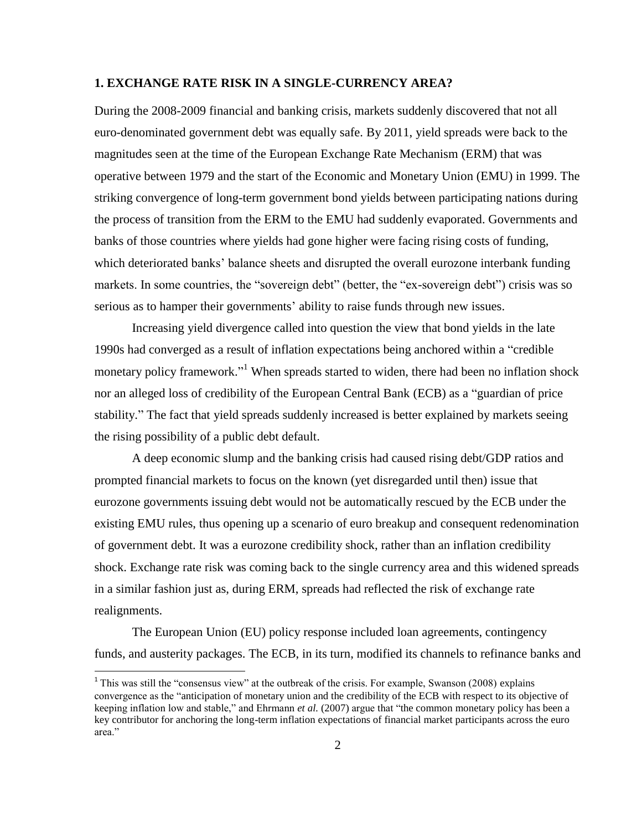#### **1. EXCHANGE RATE RISK IN A SINGLE-CURRENCY AREA?**

During the 2008-2009 financial and banking crisis, markets suddenly discovered that not all euro-denominated government debt was equally safe. By 2011, yield spreads were back to the magnitudes seen at the time of the European Exchange Rate Mechanism (ERM) that was operative between 1979 and the start of the Economic and Monetary Union (EMU) in 1999. The striking convergence of long-term government bond yields between participating nations during the process of transition from the ERM to the EMU had suddenly evaporated. Governments and banks of those countries where yields had gone higher were facing rising costs of funding, which deteriorated banks' balance sheets and disrupted the overall eurozone interbank funding markets. In some countries, the "sovereign debt" (better, the "ex-sovereign debt") crisis was so serious as to hamper their governments' ability to raise funds through new issues.

Increasing yield divergence called into question the view that bond yields in the late 1990s had converged as a result of inflation expectations being anchored within a "credible monetary policy framework."<sup>1</sup> When spreads started to widen, there had been no inflation shock nor an alleged loss of credibility of the European Central Bank (ECB) as a "guardian of price stability." The fact that yield spreads suddenly increased is better explained by markets seeing the rising possibility of a public debt default.

A deep economic slump and the banking crisis had caused rising debt/GDP ratios and prompted financial markets to focus on the known (yet disregarded until then) issue that eurozone governments issuing debt would not be automatically rescued by the ECB under the existing EMU rules, thus opening up a scenario of euro breakup and consequent redenomination of government debt. It was a eurozone credibility shock, rather than an inflation credibility shock. Exchange rate risk was coming back to the single currency area and this widened spreads in a similar fashion just as, during ERM, spreads had reflected the risk of exchange rate realignments.

The European Union (EU) policy response included loan agreements, contingency funds, and austerity packages. The ECB, in its turn, modified its channels to refinance banks and

<sup>&</sup>lt;sup>1</sup> This was still the "consensus view" at the outbreak of the crisis. For example, Swanson (2008) explains convergence as the "anticipation of monetary union and the credibility of the ECB with respect to its objective of keeping inflation low and stable," and Ehrmann *et al.* (2007) argue that "the common monetary policy has been a key contributor for anchoring the long-term inflation expectations of financial market participants across the euro area."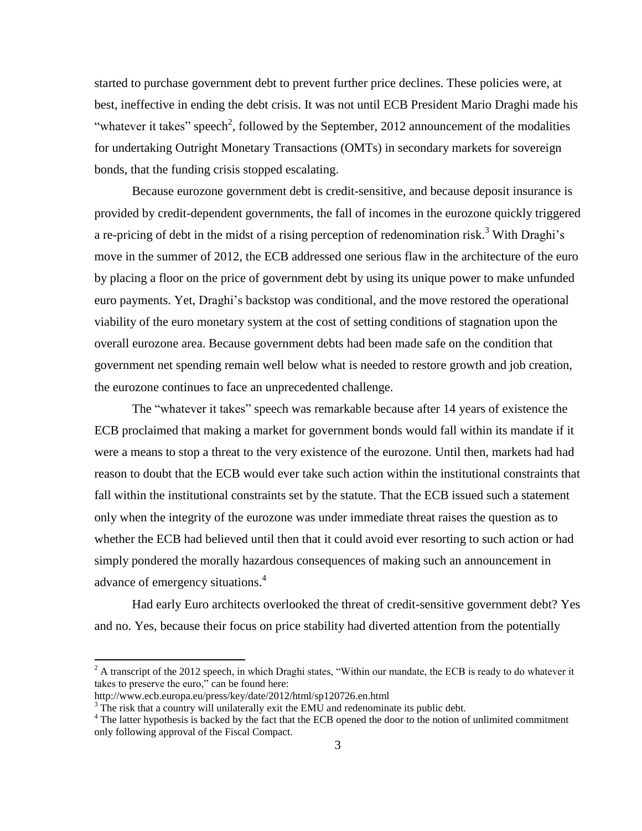started to purchase government debt to prevent further price declines. These policies were, at best, ineffective in ending the debt crisis. It was not until ECB President Mario Draghi made his "whatever it takes" speech<sup>2</sup>, followed by the September, 2012 announcement of the modalities for undertaking Outright Monetary Transactions (OMTs) in secondary markets for sovereign bonds, that the funding crisis stopped escalating.

Because eurozone government debt is credit-sensitive, and because deposit insurance is provided by credit-dependent governments, the fall of incomes in the eurozone quickly triggered a re-pricing of debt in the midst of a rising perception of redenomination risk.<sup>3</sup> With Draghi's move in the summer of 2012, the ECB addressed one serious flaw in the architecture of the euro by placing a floor on the price of government debt by using its unique power to make unfunded euro payments. Yet, Draghi's backstop was conditional, and the move restored the operational viability of the euro monetary system at the cost of setting conditions of stagnation upon the overall eurozone area. Because government debts had been made safe on the condition that government net spending remain well below what is needed to restore growth and job creation, the eurozone continues to face an unprecedented challenge.

The "whatever it takes" speech was remarkable because after 14 years of existence the ECB proclaimed that making a market for government bonds would fall within its mandate if it were a means to stop a threat to the very existence of the eurozone. Until then, markets had had reason to doubt that the ECB would ever take such action within the institutional constraints that fall within the institutional constraints set by the statute. That the ECB issued such a statement only when the integrity of the eurozone was under immediate threat raises the question as to whether the ECB had believed until then that it could avoid ever resorting to such action or had simply pondered the morally hazardous consequences of making such an announcement in advance of emergency situations. 4

Had early Euro architects overlooked the threat of credit-sensitive government debt? Yes and no. Yes, because their focus on price stability had diverted attention from the potentially

 $2 \text{ A transcript of the } 2012 \text{ speech, in which Draghi states, "Within our mandate, the ECB is ready to do whatever it.}$ takes to preserve the euro," can be found here:

http://www.ecb.europa.eu/press/key/date/2012/html/sp120726.en.html

 $3$  The risk that a country will unilaterally exit the EMU and redenominate its public debt.

<sup>&</sup>lt;sup>4</sup> The latter hypothesis is backed by the fact that the ECB opened the door to the notion of unlimited commitment only following approval of the Fiscal Compact.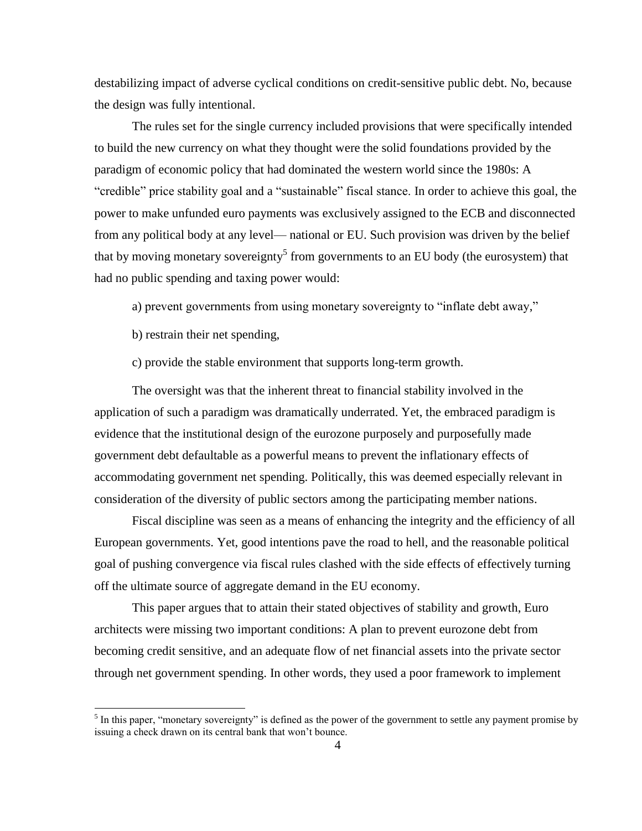destabilizing impact of adverse cyclical conditions on credit-sensitive public debt. No, because the design was fully intentional.

The rules set for the single currency included provisions that were specifically intended to build the new currency on what they thought were the solid foundations provided by the paradigm of economic policy that had dominated the western world since the 1980s: A "credible" price stability goal and a "sustainable" fiscal stance. In order to achieve this goal, the power to make unfunded euro payments was exclusively assigned to the ECB and disconnected from any political body at any level— national or EU. Such provision was driven by the belief that by moving monetary sovereignty<sup>5</sup> from governments to an EU body (the eurosystem) that had no public spending and taxing power would:

a) prevent governments from using monetary sovereignty to "inflate debt away,"

b) restrain their net spending,

 $\overline{\phantom{a}}$ 

c) provide the stable environment that supports long-term growth.

The oversight was that the inherent threat to financial stability involved in the application of such a paradigm was dramatically underrated. Yet, the embraced paradigm is evidence that the institutional design of the eurozone purposely and purposefully made government debt defaultable as a powerful means to prevent the inflationary effects of accommodating government net spending. Politically, this was deemed especially relevant in consideration of the diversity of public sectors among the participating member nations.

Fiscal discipline was seen as a means of enhancing the integrity and the efficiency of all European governments. Yet, good intentions pave the road to hell, and the reasonable political goal of pushing convergence via fiscal rules clashed with the side effects of effectively turning off the ultimate source of aggregate demand in the EU economy.

This paper argues that to attain their stated objectives of stability and growth, Euro architects were missing two important conditions: A plan to prevent eurozone debt from becoming credit sensitive, and an adequate flow of net financial assets into the private sector through net government spending. In other words, they used a poor framework to implement

<sup>&</sup>lt;sup>5</sup> In this paper, "monetary sovereignty" is defined as the power of the government to settle any payment promise by issuing a check drawn on its central bank that won't bounce.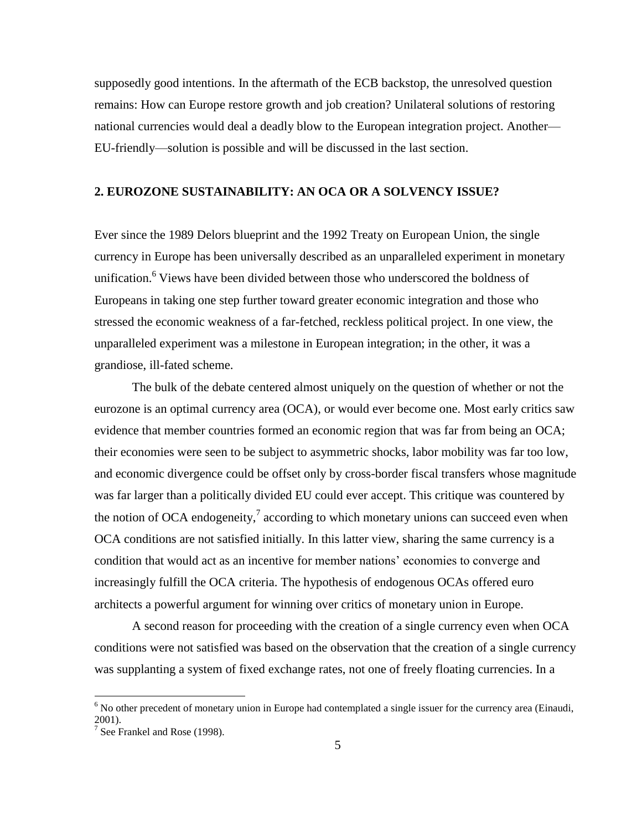supposedly good intentions. In the aftermath of the ECB backstop, the unresolved question remains: How can Europe restore growth and job creation? Unilateral solutions of restoring national currencies would deal a deadly blow to the European integration project. Another— EU-friendly—solution is possible and will be discussed in the last section.

### **2. EUROZONE SUSTAINABILITY: AN OCA OR A SOLVENCY ISSUE?**

Ever since the 1989 Delors blueprint and the 1992 Treaty on European Union, the single currency in Europe has been universally described as an unparalleled experiment in monetary unification.<sup>6</sup> Views have been divided between those who underscored the boldness of Europeans in taking one step further toward greater economic integration and those who stressed the economic weakness of a far-fetched, reckless political project. In one view, the unparalleled experiment was a milestone in European integration; in the other, it was a grandiose, ill-fated scheme.

The bulk of the debate centered almost uniquely on the question of whether or not the eurozone is an optimal currency area (OCA), or would ever become one. Most early critics saw evidence that member countries formed an economic region that was far from being an OCA; their economies were seen to be subject to asymmetric shocks, labor mobility was far too low, and economic divergence could be offset only by cross-border fiscal transfers whose magnitude was far larger than a politically divided EU could ever accept. This critique was countered by the notion of OCA endogeneity, $\frac{7}{1}$  according to which monetary unions can succeed even when OCA conditions are not satisfied initially. In this latter view, sharing the same currency is a condition that would act as an incentive for member nations' economies to converge and increasingly fulfill the OCA criteria. The hypothesis of endogenous OCAs offered euro architects a powerful argument for winning over critics of monetary union in Europe.

A second reason for proceeding with the creation of a single currency even when OCA conditions were not satisfied was based on the observation that the creation of a single currency was supplanting a system of fixed exchange rates, not one of freely floating currencies. In a

 $6$  No other precedent of monetary union in Europe had contemplated a single issuer for the currency area (Einaudi, 2001).

<sup>7</sup> See Frankel and Rose (1998).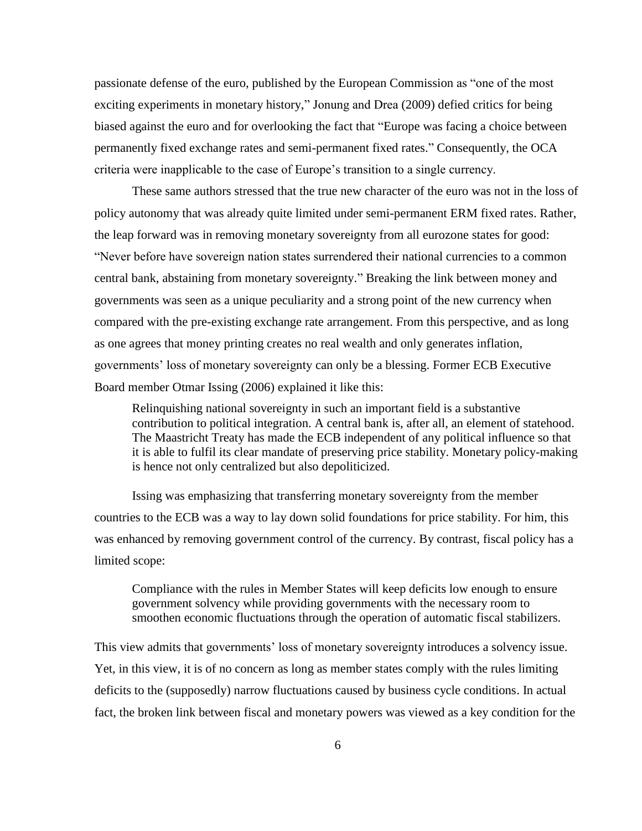passionate defense of the euro, published by the European Commission as "one of the most exciting experiments in monetary history," Jonung and Drea (2009) defied critics for being biased against the euro and for overlooking the fact that "Europe was facing a choice between permanently fixed exchange rates and semi-permanent fixed rates." Consequently, the OCA criteria were inapplicable to the case of Europe's transition to a single currency.

These same authors stressed that the true new character of the euro was not in the loss of policy autonomy that was already quite limited under semi-permanent ERM fixed rates. Rather, the leap forward was in removing monetary sovereignty from all eurozone states for good: "Never before have sovereign nation states surrendered their national currencies to a common central bank, abstaining from monetary sovereignty." Breaking the link between money and governments was seen as a unique peculiarity and a strong point of the new currency when compared with the pre-existing exchange rate arrangement. From this perspective, and as long as one agrees that money printing creates no real wealth and only generates inflation, governments' loss of monetary sovereignty can only be a blessing. Former ECB Executive Board member Otmar Issing (2006) explained it like this:

Relinquishing national sovereignty in such an important field is a substantive contribution to political integration. A central bank is, after all, an element of statehood. The Maastricht Treaty has made the ECB independent of any political influence so that it is able to fulfil its clear mandate of preserving price stability. Monetary policy-making is hence not only centralized but also depoliticized.

Issing was emphasizing that transferring monetary sovereignty from the member countries to the ECB was a way to lay down solid foundations for price stability. For him, this was enhanced by removing government control of the currency. By contrast, fiscal policy has a limited scope:

Compliance with the rules in Member States will keep deficits low enough to ensure government solvency while providing governments with the necessary room to smoothen economic fluctuations through the operation of automatic fiscal stabilizers.

This view admits that governments' loss of monetary sovereignty introduces a solvency issue. Yet, in this view, it is of no concern as long as member states comply with the rules limiting deficits to the (supposedly) narrow fluctuations caused by business cycle conditions. In actual fact, the broken link between fiscal and monetary powers was viewed as a key condition for the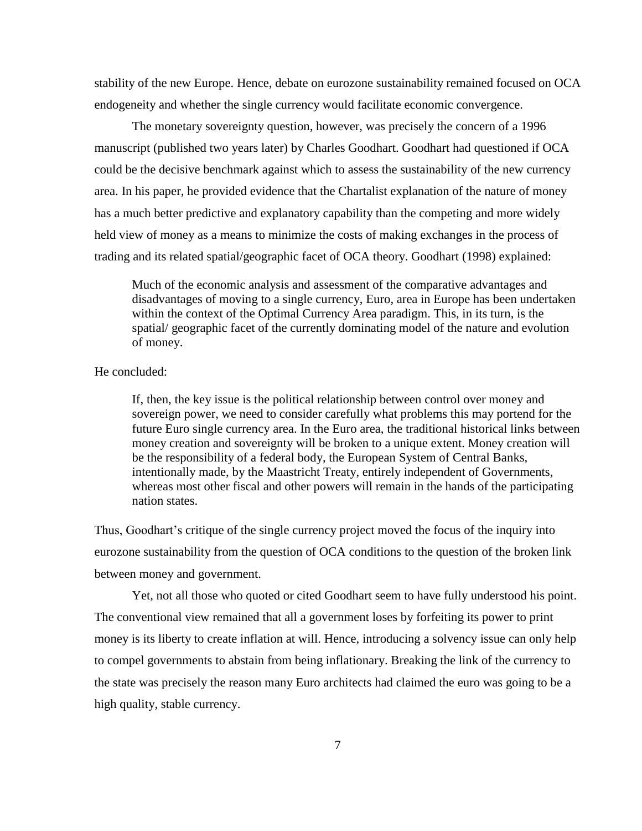stability of the new Europe. Hence, debate on eurozone sustainability remained focused on OCA endogeneity and whether the single currency would facilitate economic convergence.

The monetary sovereignty question, however, was precisely the concern of a 1996 manuscript (published two years later) by Charles Goodhart. Goodhart had questioned if OCA could be the decisive benchmark against which to assess the sustainability of the new currency area. In his paper, he provided evidence that the Chartalist explanation of the nature of money has a much better predictive and explanatory capability than the competing and more widely held view of money as a means to minimize the costs of making exchanges in the process of trading and its related spatial/geographic facet of OCA theory. Goodhart (1998) explained:

Much of the economic analysis and assessment of the comparative advantages and disadvantages of moving to a single currency, Euro, area in Europe has been undertaken within the context of the Optimal Currency Area paradigm. This, in its turn, is the spatial/ geographic facet of the currently dominating model of the nature and evolution of money.

He concluded:

If, then, the key issue is the political relationship between control over money and sovereign power, we need to consider carefully what problems this may portend for the future Euro single currency area. In the Euro area, the traditional historical links between money creation and sovereignty will be broken to a unique extent. Money creation will be the responsibility of a federal body, the European System of Central Banks, intentionally made, by the Maastricht Treaty, entirely independent of Governments, whereas most other fiscal and other powers will remain in the hands of the participating nation states.

Thus, Goodhart's critique of the single currency project moved the focus of the inquiry into eurozone sustainability from the question of OCA conditions to the question of the broken link between money and government.

Yet, not all those who quoted or cited Goodhart seem to have fully understood his point. The conventional view remained that all a government loses by forfeiting its power to print money is its liberty to create inflation at will. Hence, introducing a solvency issue can only help to compel governments to abstain from being inflationary. Breaking the link of the currency to the state was precisely the reason many Euro architects had claimed the euro was going to be a high quality, stable currency.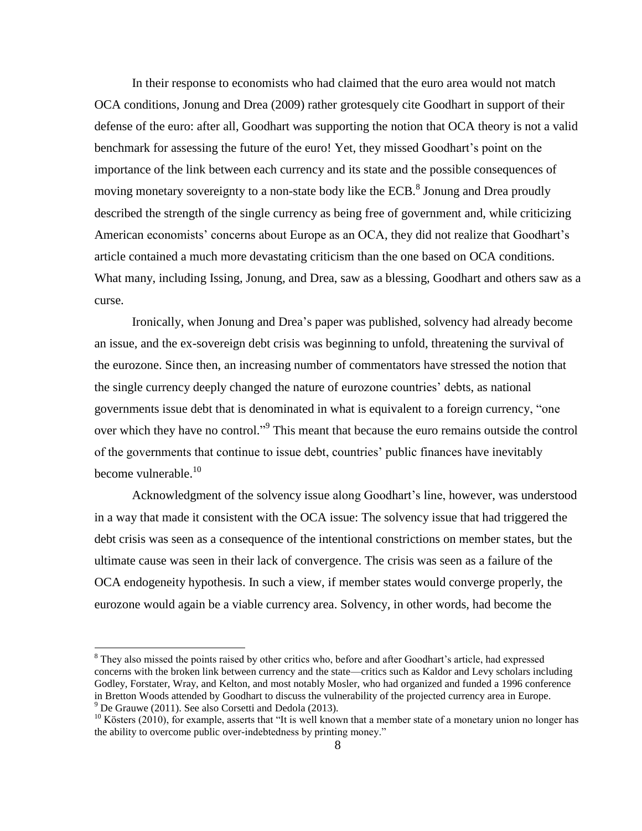In their response to economists who had claimed that the euro area would not match OCA conditions, Jonung and Drea (2009) rather grotesquely cite Goodhart in support of their defense of the euro: after all, Goodhart was supporting the notion that OCA theory is not a valid benchmark for assessing the future of the euro! Yet, they missed Goodhart's point on the importance of the link between each currency and its state and the possible consequences of moving monetary sovereignty to a non-state body like the ECB. $^8$  Jonung and Drea proudly described the strength of the single currency as being free of government and, while criticizing American economists' concerns about Europe as an OCA, they did not realize that Goodhart's article contained a much more devastating criticism than the one based on OCA conditions. What many, including Issing, Jonung, and Drea, saw as a blessing, Goodhart and others saw as a curse.

Ironically, when Jonung and Drea's paper was published, solvency had already become an issue, and the ex-sovereign debt crisis was beginning to unfold, threatening the survival of the eurozone. Since then, an increasing number of commentators have stressed the notion that the single currency deeply changed the nature of eurozone countries' debts, as national governments issue debt that is denominated in what is equivalent to a foreign currency, "one over which they have no control."<sup>9</sup> This meant that because the euro remains outside the control of the governments that continue to issue debt, countries' public finances have inevitably become vulnerable.<sup>10</sup>

Acknowledgment of the solvency issue along Goodhart's line, however, was understood in a way that made it consistent with the OCA issue: The solvency issue that had triggered the debt crisis was seen as a consequence of the intentional constrictions on member states, but the ultimate cause was seen in their lack of convergence. The crisis was seen as a failure of the OCA endogeneity hypothesis. In such a view, if member states would converge properly, the eurozone would again be a viable currency area. Solvency, in other words, had become the

 $\overline{a}$ 

<sup>&</sup>lt;sup>8</sup> They also missed the points raised by other critics who, before and after Goodhart's article, had expressed concerns with the broken link between currency and the state—critics such as Kaldor and Levy scholars including Godley, Forstater, Wray, and Kelton, and most notably Mosler, who had organized and funded a 1996 conference in Bretton Woods attended by Goodhart to discuss the vulnerability of the projected currency area in Europe.  $9^9$  De Grauwe (2011). See also Corsetti and Dedola (2013).

 $10$  Kösters (2010), for example, asserts that "It is well known that a member state of a monetary union no longer has the ability to overcome public over-indebtedness by printing money."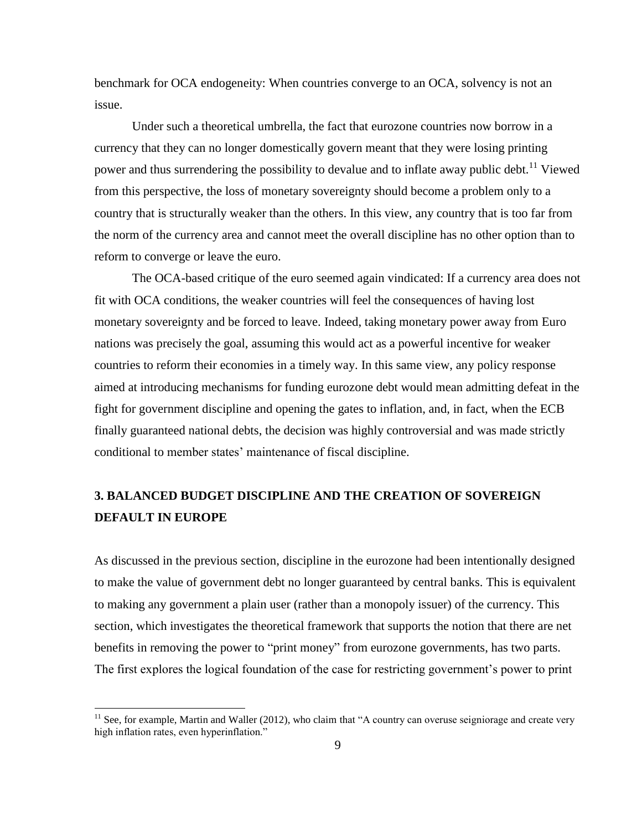benchmark for OCA endogeneity: When countries converge to an OCA, solvency is not an issue.

Under such a theoretical umbrella, the fact that eurozone countries now borrow in a currency that they can no longer domestically govern meant that they were losing printing power and thus surrendering the possibility to devalue and to inflate away public debt.<sup>11</sup> Viewed from this perspective, the loss of monetary sovereignty should become a problem only to a country that is structurally weaker than the others. In this view, any country that is too far from the norm of the currency area and cannot meet the overall discipline has no other option than to reform to converge or leave the euro.

The OCA-based critique of the euro seemed again vindicated: If a currency area does not fit with OCA conditions, the weaker countries will feel the consequences of having lost monetary sovereignty and be forced to leave. Indeed, taking monetary power away from Euro nations was precisely the goal, assuming this would act as a powerful incentive for weaker countries to reform their economies in a timely way. In this same view, any policy response aimed at introducing mechanisms for funding eurozone debt would mean admitting defeat in the fight for government discipline and opening the gates to inflation, and, in fact, when the ECB finally guaranteed national debts, the decision was highly controversial and was made strictly conditional to member states' maintenance of fiscal discipline.

# **3. BALANCED BUDGET DISCIPLINE AND THE CREATION OF SOVEREIGN DEFAULT IN EUROPE**

As discussed in the previous section, discipline in the eurozone had been intentionally designed to make the value of government debt no longer guaranteed by central banks. This is equivalent to making any government a plain user (rather than a monopoly issuer) of the currency. This section, which investigates the theoretical framework that supports the notion that there are net benefits in removing the power to "print money" from eurozone governments, has two parts. The first explores the logical foundation of the case for restricting government's power to print

 $11$  See, for example, Martin and Waller (2012), who claim that "A country can overuse seigniorage and create very high inflation rates, even hyperinflation."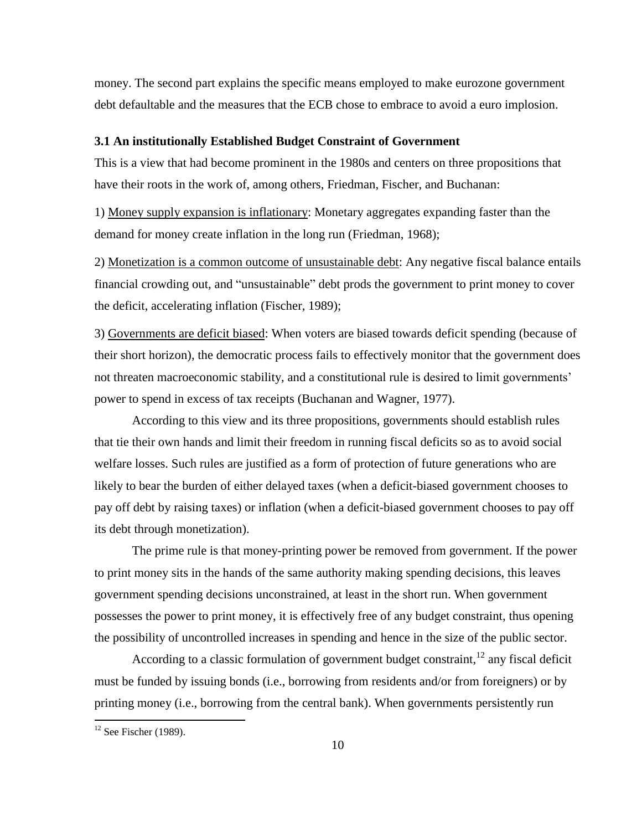money. The second part explains the specific means employed to make eurozone government debt defaultable and the measures that the ECB chose to embrace to avoid a euro implosion.

#### **3.1 An institutionally Established Budget Constraint of Government**

This is a view that had become prominent in the 1980s and centers on three propositions that have their roots in the work of, among others, Friedman, Fischer, and Buchanan:

1) Money supply expansion is inflationary: Monetary aggregates expanding faster than the demand for money create inflation in the long run (Friedman, 1968);

2) Monetization is a common outcome of unsustainable debt: Any negative fiscal balance entails financial crowding out, and "unsustainable" debt prods the government to print money to cover the deficit, accelerating inflation (Fischer, 1989);

3) Governments are deficit biased: When voters are biased towards deficit spending (because of their short horizon), the democratic process fails to effectively monitor that the government does not threaten macroeconomic stability, and a constitutional rule is desired to limit governments' power to spend in excess of tax receipts (Buchanan and Wagner, 1977).

According to this view and its three propositions, governments should establish rules that tie their own hands and limit their freedom in running fiscal deficits so as to avoid social welfare losses. Such rules are justified as a form of protection of future generations who are likely to bear the burden of either delayed taxes (when a deficit-biased government chooses to pay off debt by raising taxes) or inflation (when a deficit-biased government chooses to pay off its debt through monetization).

The prime rule is that money-printing power be removed from government. If the power to print money sits in the hands of the same authority making spending decisions, this leaves government spending decisions unconstrained, at least in the short run. When government possesses the power to print money, it is effectively free of any budget constraint, thus opening the possibility of uncontrolled increases in spending and hence in the size of the public sector.

According to a classic formulation of government budget constraint,  $12$  any fiscal deficit must be funded by issuing bonds (i.e., borrowing from residents and/or from foreigners) or by printing money (i.e., borrowing from the central bank). When governments persistently run

 $\overline{a}$ 

 $12$  See Fischer (1989).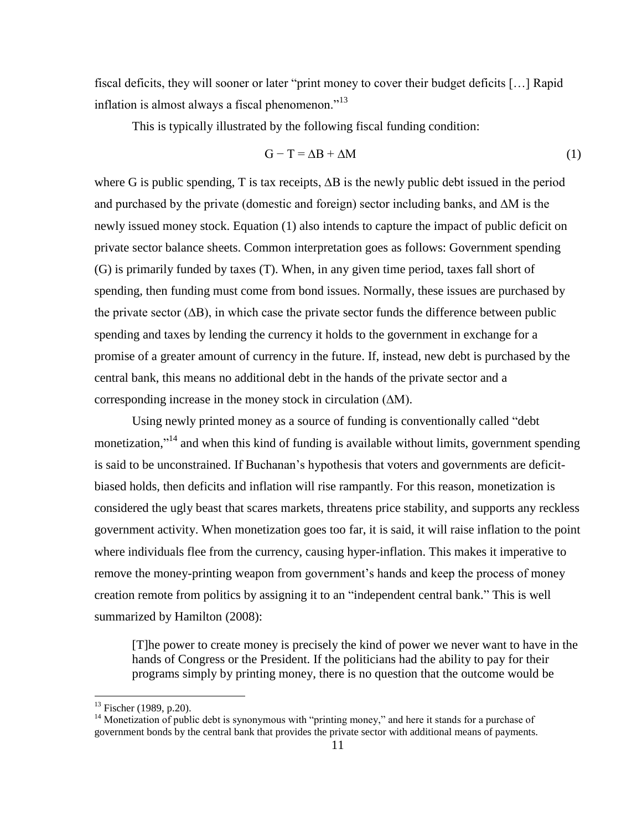fiscal deficits, they will sooner or later "print money to cover their budget deficits […] Rapid inflation is almost always a fiscal phenomenon."<sup>13</sup>

This is typically illustrated by the following fiscal funding condition:

$$
G - T = \Delta B + \Delta M \tag{1}
$$

where G is public spending, T is tax receipts, ∆B is the newly public debt issued in the period and purchased by the private (domestic and foreign) sector including banks, and ∆M is the newly issued money stock. Equation (1) also intends to capture the impact of public deficit on private sector balance sheets. Common interpretation goes as follows: Government spending (G) is primarily funded by taxes (T). When, in any given time period, taxes fall short of spending, then funding must come from bond issues. Normally, these issues are purchased by the private sector (∆B), in which case the private sector funds the difference between public spending and taxes by lending the currency it holds to the government in exchange for a promise of a greater amount of currency in the future. If, instead, new debt is purchased by the central bank, this means no additional debt in the hands of the private sector and a corresponding increase in the money stock in circulation (∆M).

Using newly printed money as a source of funding is conventionally called "debt monetization,"<sup>14</sup> and when this kind of funding is available without limits, government spending is said to be unconstrained. If Buchanan's hypothesis that voters and governments are deficitbiased holds, then deficits and inflation will rise rampantly. For this reason, monetization is considered the ugly beast that scares markets, threatens price stability, and supports any reckless government activity. When monetization goes too far, it is said, it will raise inflation to the point where individuals flee from the currency, causing hyper-inflation. This makes it imperative to remove the money-printing weapon from government's hands and keep the process of money creation remote from politics by assigning it to an "independent central bank." This is well summarized by Hamilton (2008):

[T]he power to create money is precisely the kind of power we never want to have in the hands of Congress or the President. If the politicians had the ability to pay for their programs simply by printing money, there is no question that the outcome would be

 $13$  Fischer (1989, p.20).

<sup>&</sup>lt;sup>14</sup> Monetization of public debt is synonymous with "printing money," and here it stands for a purchase of government bonds by the central bank that provides the private sector with additional means of payments.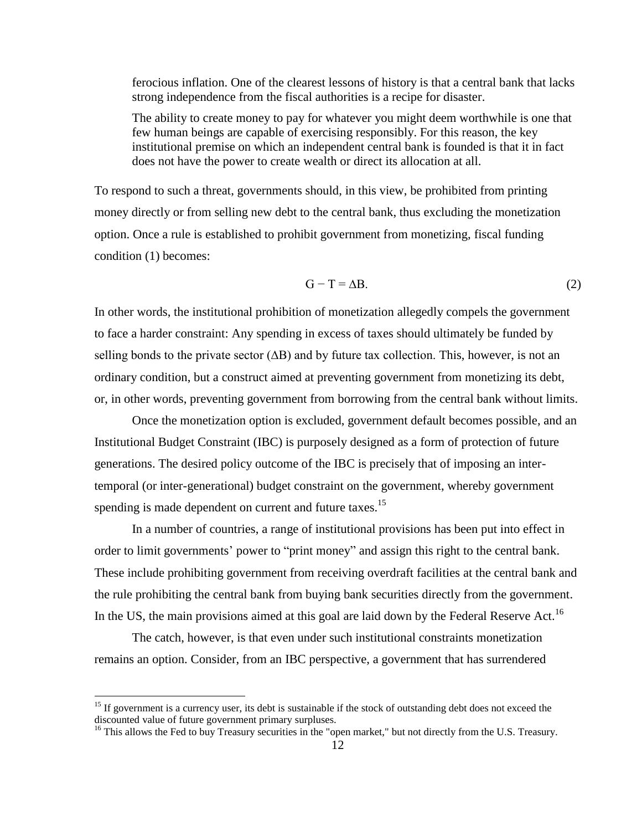ferocious inflation. One of the clearest lessons of history is that a central bank that lacks strong independence from the fiscal authorities is a recipe for disaster.

The ability to create money to pay for whatever you might deem worthwhile is one that few human beings are capable of exercising responsibly. For this reason, the key institutional premise on which an independent central bank is founded is that it in fact does not have the power to create wealth or direct its allocation at all.

To respond to such a threat, governments should, in this view, be prohibited from printing money directly or from selling new debt to the central bank, thus excluding the monetization option. Once a rule is established to prohibit government from monetizing, fiscal funding condition (1) becomes:

$$
G - T = \Delta B. \tag{2}
$$

In other words, the institutional prohibition of monetization allegedly compels the government to face a harder constraint: Any spending in excess of taxes should ultimately be funded by selling bonds to the private sector ( $\Delta B$ ) and by future tax collection. This, however, is not an ordinary condition, but a construct aimed at preventing government from monetizing its debt, or, in other words, preventing government from borrowing from the central bank without limits.

Once the monetization option is excluded, government default becomes possible, and an Institutional Budget Constraint (IBC) is purposely designed as a form of protection of future generations. The desired policy outcome of the IBC is precisely that of imposing an intertemporal (or inter-generational) budget constraint on the government, whereby government spending is made dependent on current and future taxes.<sup>15</sup>

In a number of countries, a range of institutional provisions has been put into effect in order to limit governments' power to "print money" and assign this right to the central bank. These include prohibiting government from receiving overdraft facilities at the central bank and the rule prohibiting the central bank from buying bank securities directly from the government. In the US, the main provisions aimed at this goal are laid down by the Federal Reserve Act.<sup>16</sup>

The catch, however, is that even under such institutional constraints monetization remains an option. Consider, from an IBC perspective, a government that has surrendered

<sup>&</sup>lt;sup>15</sup> If government is a currency user, its debt is sustainable if the stock of outstanding debt does not exceed the discounted value of future government primary surpluses.

<sup>&</sup>lt;sup>16</sup> This allows the Fed to buy Treasury securities in the "open market," but not directly from the U.S. Treasury.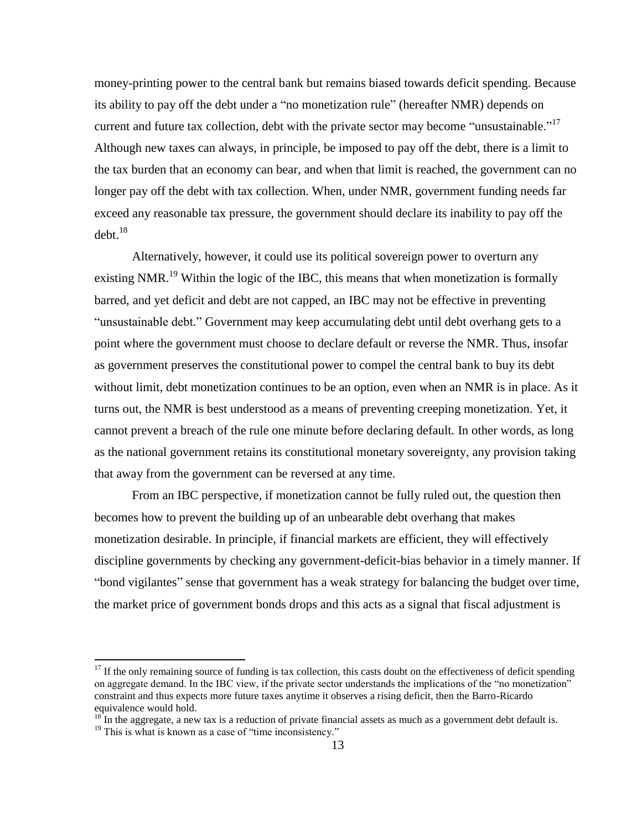money-printing power to the central bank but remains biased towards deficit spending. Because its ability to pay off the debt under a "no monetization rule" (hereafter NMR) depends on current and future tax collection, debt with the private sector may become "unsustainable."<sup>17</sup> Although new taxes can always, in principle, be imposed to pay off the debt, there is a limit to the tax burden that an economy can bear, and when that limit is reached, the government can no longer pay off the debt with tax collection. When, under NMR, government funding needs far exceed any reasonable tax pressure, the government should declare its inability to pay off the debt. 18

Alternatively, however, it could use its political sovereign power to overturn any existing NMR.<sup>19</sup> Within the logic of the IBC, this means that when monetization is formally barred, and yet deficit and debt are not capped, an IBC may not be effective in preventing "unsustainable debt." Government may keep accumulating debt until debt overhang gets to a point where the government must choose to declare default or reverse the NMR. Thus, insofar as government preserves the constitutional power to compel the central bank to buy its debt without limit, debt monetization continues to be an option, even when an NMR is in place. As it turns out, the NMR is best understood as a means of preventing creeping monetization. Yet, it cannot prevent a breach of the rule one minute before declaring default. In other words, as long as the national government retains its constitutional monetary sovereignty, any provision taking that away from the government can be reversed at any time.

From an IBC perspective, if monetization cannot be fully ruled out, the question then becomes how to prevent the building up of an unbearable debt overhang that makes monetization desirable. In principle, if financial markets are efficient, they will effectively discipline governments by checking any government-deficit-bias behavior in a timely manner. If "bond vigilantes" sense that government has a weak strategy for balancing the budget over time, the market price of government bonds drops and this acts as a signal that fiscal adjustment is

 $17$  If the only remaining source of funding is tax collection, this casts doubt on the effectiveness of deficit spending on aggregate demand. In the IBC view, if the private sector understands the implications of the "no monetization" constraint and thus expects more future taxes anytime it observes a rising deficit, then the Barro-Ricardo equivalence would hold.

 $18<sup>18</sup>$  In the aggregate, a new tax is a reduction of private financial assets as much as a government debt default is.

 $19$  This is what is known as a case of "time inconsistency."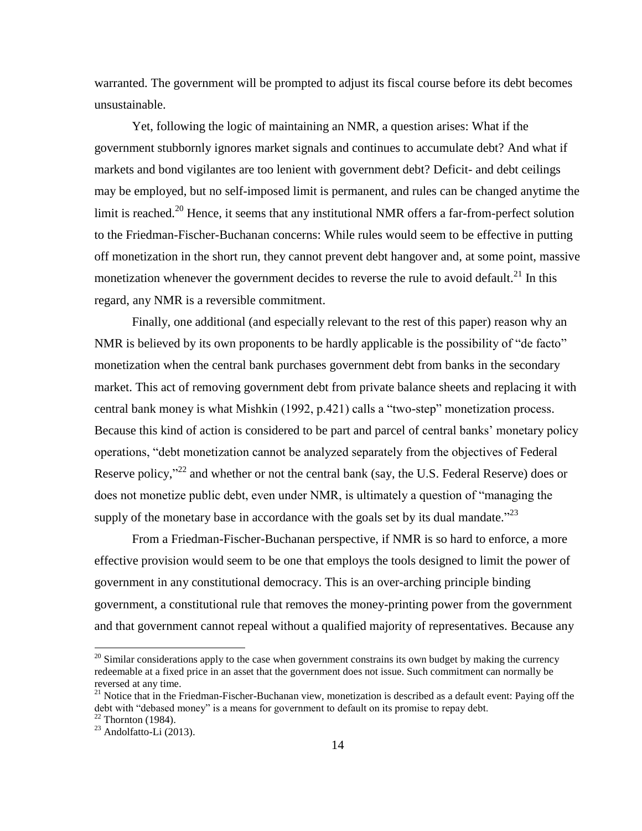warranted. The government will be prompted to adjust its fiscal course before its debt becomes unsustainable.

Yet, following the logic of maintaining an NMR, a question arises: What if the government stubbornly ignores market signals and continues to accumulate debt? And what if markets and bond vigilantes are too lenient with government debt? Deficit- and debt ceilings may be employed, but no self-imposed limit is permanent, and rules can be changed anytime the limit is reached.<sup>20</sup> Hence, it seems that any institutional NMR offers a far-from-perfect solution to the Friedman-Fischer-Buchanan concerns: While rules would seem to be effective in putting off monetization in the short run, they cannot prevent debt hangover and, at some point, massive monetization whenever the government decides to reverse the rule to avoid default.<sup>21</sup> In this regard, any NMR is a reversible commitment.

Finally, one additional (and especially relevant to the rest of this paper) reason why an NMR is believed by its own proponents to be hardly applicable is the possibility of "de facto" monetization when the central bank purchases government debt from banks in the secondary market. This act of removing government debt from private balance sheets and replacing it with central bank money is what Mishkin (1992, p.421) calls a "two-step" monetization process. Because this kind of action is considered to be part and parcel of central banks' monetary policy operations, "debt monetization cannot be analyzed separately from the objectives of Federal Reserve policy,"<sup>22</sup> and whether or not the central bank (say, the U.S. Federal Reserve) does or does not monetize public debt, even under NMR, is ultimately a question of "managing the supply of the monetary base in accordance with the goals set by its dual mandate." $^{23}$ 

From a Friedman-Fischer-Buchanan perspective, if NMR is so hard to enforce, a more effective provision would seem to be one that employs the tools designed to limit the power of government in any constitutional democracy. This is an over-arching principle binding government, a constitutional rule that removes the money-printing power from the government and that government cannot repeal without a qualified majority of representatives. Because any

 $\overline{a}$ 

 $20$  Similar considerations apply to the case when government constrains its own budget by making the currency redeemable at a fixed price in an asset that the government does not issue. Such commitment can normally be reversed at any time.

<sup>&</sup>lt;sup>21</sup> Notice that in the Friedman-Fischer-Buchanan view, monetization is described as a default event: Paying off the debt with "debased money" is a means for government to default on its promise to repay debt.  $22$  Thornton (1984).

 $23$  Andolfatto-Li (2013).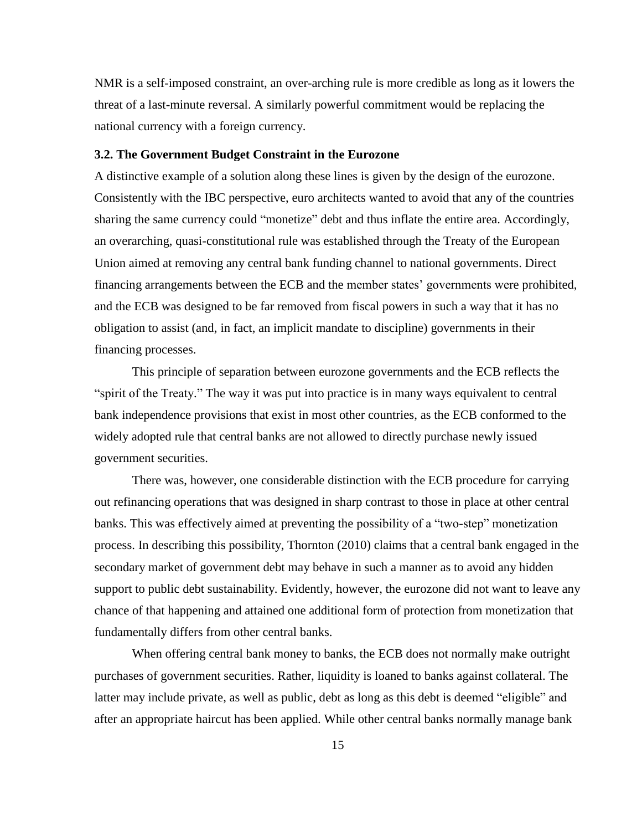NMR is a self-imposed constraint, an over-arching rule is more credible as long as it lowers the threat of a last-minute reversal. A similarly powerful commitment would be replacing the national currency with a foreign currency.

#### **3.2. The Government Budget Constraint in the Eurozone**

A distinctive example of a solution along these lines is given by the design of the eurozone. Consistently with the IBC perspective, euro architects wanted to avoid that any of the countries sharing the same currency could "monetize" debt and thus inflate the entire area. Accordingly, an overarching, quasi-constitutional rule was established through the Treaty of the European Union aimed at removing any central bank funding channel to national governments. Direct financing arrangements between the ECB and the member states' governments were prohibited, and the ECB was designed to be far removed from fiscal powers in such a way that it has no obligation to assist (and, in fact, an implicit mandate to discipline) governments in their financing processes.

This principle of separation between eurozone governments and the ECB reflects the "spirit of the Treaty." The way it was put into practice is in many ways equivalent to central bank independence provisions that exist in most other countries, as the ECB conformed to the widely adopted rule that central banks are not allowed to directly purchase newly issued government securities.

There was, however, one considerable distinction with the ECB procedure for carrying out refinancing operations that was designed in sharp contrast to those in place at other central banks. This was effectively aimed at preventing the possibility of a "two-step" monetization process. In describing this possibility, Thornton (2010) claims that a central bank engaged in the secondary market of government debt may behave in such a manner as to avoid any hidden support to public debt sustainability. Evidently, however, the eurozone did not want to leave any chance of that happening and attained one additional form of protection from monetization that fundamentally differs from other central banks.

When offering central bank money to banks, the ECB does not normally make outright purchases of government securities. Rather, liquidity is loaned to banks against collateral. The latter may include private, as well as public, debt as long as this debt is deemed "eligible" and after an appropriate haircut has been applied. While other central banks normally manage bank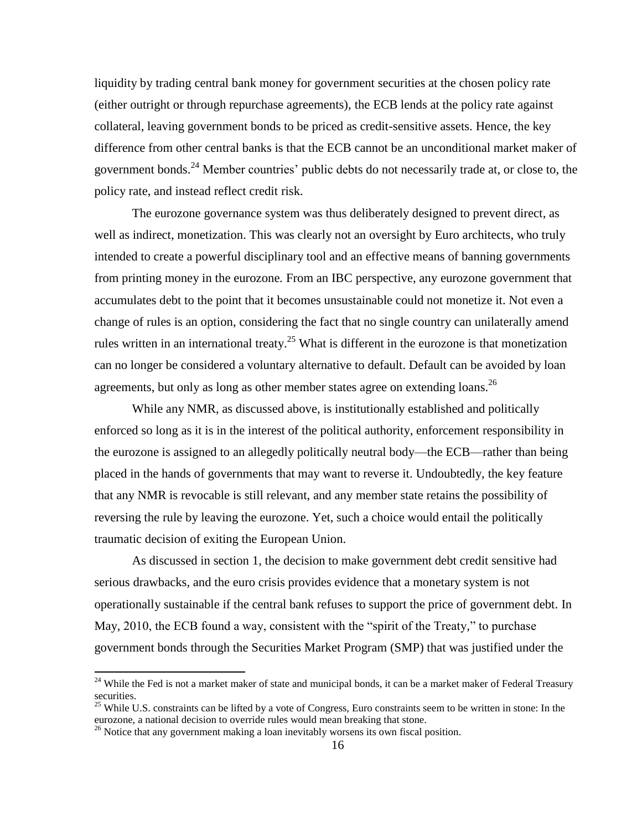liquidity by trading central bank money for government securities at the chosen policy rate (either outright or through repurchase agreements), the ECB lends at the policy rate against collateral, leaving government bonds to be priced as credit-sensitive assets. Hence, the key difference from other central banks is that the ECB cannot be an unconditional market maker of government bonds.<sup>24</sup> Member countries' public debts do not necessarily trade at, or close to, the policy rate, and instead reflect credit risk.

The eurozone governance system was thus deliberately designed to prevent direct, as well as indirect, monetization. This was clearly not an oversight by Euro architects, who truly intended to create a powerful disciplinary tool and an effective means of banning governments from printing money in the eurozone*.* From an IBC perspective, any eurozone government that accumulates debt to the point that it becomes unsustainable could not monetize it. Not even a change of rules is an option, considering the fact that no single country can unilaterally amend rules written in an international treaty.<sup>25</sup> What is different in the eurozone is that monetization can no longer be considered a voluntary alternative to default. Default can be avoided by loan agreements, but only as long as other member states agree on extending loans.<sup>26</sup>

While any NMR, as discussed above, is institutionally established and politically enforced so long as it is in the interest of the political authority, enforcement responsibility in the eurozone is assigned to an allegedly politically neutral body—the ECB—rather than being placed in the hands of governments that may want to reverse it. Undoubtedly, the key feature that any NMR is revocable is still relevant, and any member state retains the possibility of reversing the rule by leaving the eurozone. Yet, such a choice would entail the politically traumatic decision of exiting the European Union.

As discussed in section 1, the decision to make government debt credit sensitive had serious drawbacks, and the euro crisis provides evidence that a monetary system is not operationally sustainable if the central bank refuses to support the price of government debt. In May, 2010, the ECB found a way, consistent with the "spirit of the Treaty," to purchase government bonds through the Securities Market Program (SMP) that was justified under the

 $24$  While the Fed is not a market maker of state and municipal bonds, it can be a market maker of Federal Treasury securities.

 $25$  While U.S. constraints can be lifted by a vote of Congress, Euro constraints seem to be written in stone: In the eurozone, a national decision to override rules would mean breaking that stone.

<sup>&</sup>lt;sup>26</sup> Notice that any government making a loan inevitably worsens its own fiscal position.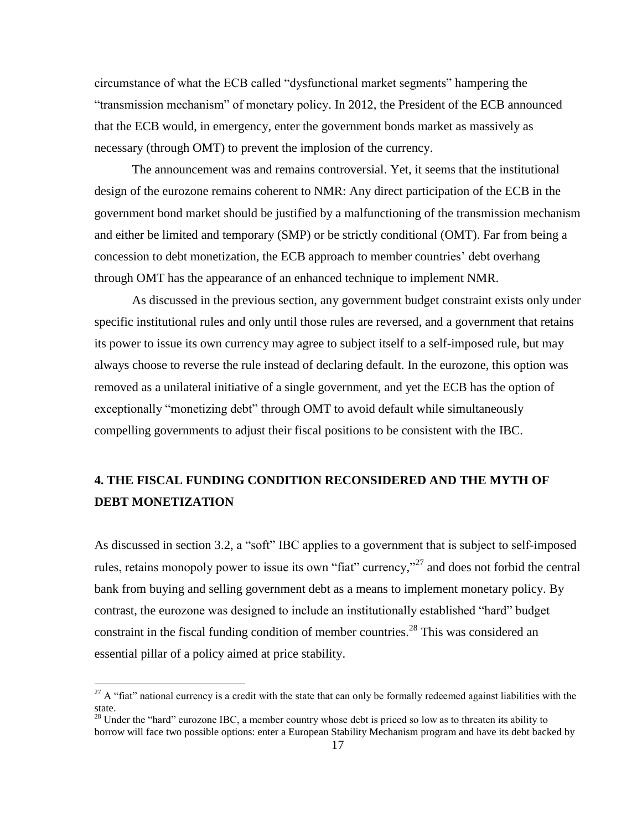circumstance of what the ECB called "dysfunctional market segments" hampering the "transmission mechanism" of monetary policy. In 2012, the President of the ECB announced that the ECB would, in emergency, enter the government bonds market as massively as necessary (through OMT) to prevent the implosion of the currency.

The announcement was and remains controversial. Yet, it seems that the institutional design of the eurozone remains coherent to NMR: Any direct participation of the ECB in the government bond market should be justified by a malfunctioning of the transmission mechanism and either be limited and temporary (SMP) or be strictly conditional (OMT). Far from being a concession to debt monetization, the ECB approach to member countries' debt overhang through OMT has the appearance of an enhanced technique to implement NMR.

As discussed in the previous section, any government budget constraint exists only under specific institutional rules and only until those rules are reversed, and a government that retains its power to issue its own currency may agree to subject itself to a self-imposed rule, but may always choose to reverse the rule instead of declaring default. In the eurozone, this option was removed as a unilateral initiative of a single government, and yet the ECB has the option of exceptionally "monetizing debt" through OMT to avoid default while simultaneously compelling governments to adjust their fiscal positions to be consistent with the IBC.

# **4. THE FISCAL FUNDING CONDITION RECONSIDERED AND THE MYTH OF DEBT MONETIZATION**

As discussed in section 3.2, a "soft" IBC applies to a government that is subject to self-imposed rules, retains monopoly power to issue its own "fiat" currency,"<sup>27</sup> and does not forbid the central bank from buying and selling government debt as a means to implement monetary policy. By contrast, the eurozone was designed to include an institutionally established "hard" budget constraint in the fiscal funding condition of member countries.<sup>28</sup> This was considered an essential pillar of a policy aimed at price stability.

l

 $27$  A "fiat" national currency is a credit with the state that can only be formally redeemed against liabilities with the state.

<sup>&</sup>lt;sup>28</sup> Under the "hard" eurozone IBC, a member country whose debt is priced so low as to threaten its ability to borrow will face two possible options: enter a European Stability Mechanism program and have its debt backed by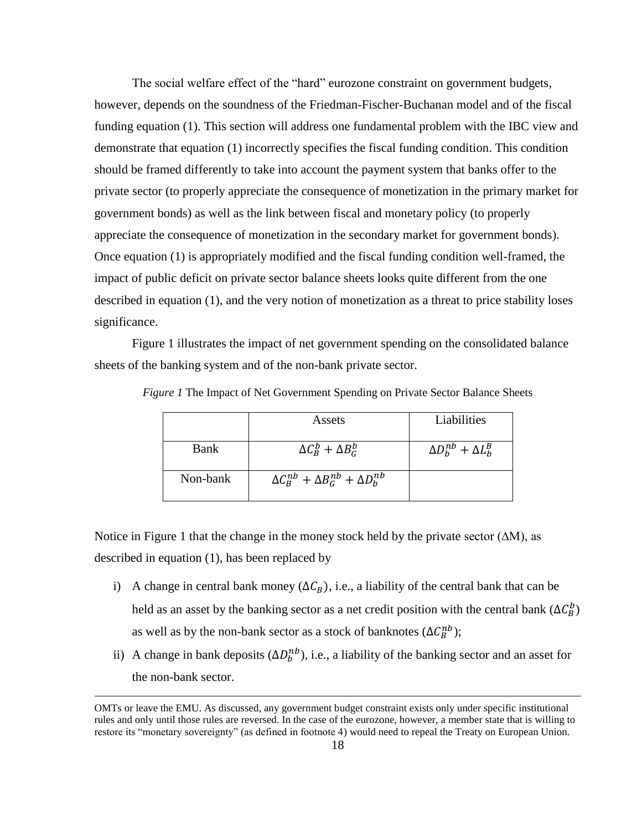The social welfare effect of the "hard" eurozone constraint on government budgets, however, depends on the soundness of the Friedman-Fischer-Buchanan model and of the fiscal funding equation (1). This section will address one fundamental problem with the IBC view and demonstrate that equation (1) incorrectly specifies the fiscal funding condition. This condition should be framed differently to take into account the payment system that banks offer to the private sector (to properly appreciate the consequence of monetization in the primary market for government bonds) as well as the link between fiscal and monetary policy (to properly appreciate the consequence of monetization in the secondary market for government bonds). Once equation (1) is appropriately modified and the fiscal funding condition well-framed, the impact of public deficit on private sector balance sheets looks quite different from the one described in equation (1), and the very notion of monetization as a threat to price stability loses significance.

Figure 1 illustrates the impact of net government spending on the consolidated balance sheets of the banking system and of the non-bank private sector.

|          | Assets                                                | Liabilities                      |
|----------|-------------------------------------------------------|----------------------------------|
| Bank     | $\Delta C_B^b + \Delta B_G^b$                         | $\Delta D_h^{nb} + \Delta L_h^B$ |
| Non-bank | $\Delta C_R^{nb} + \Delta B_G^{nb} + \Delta D_h^{nb}$ |                                  |

*Figure 1* The Impact of Net Government Spending on Private Sector Balance Sheets

Notice in Figure 1 that the change in the money stock held by the private sector  $(\Delta M)$ , as described in equation (1), has been replaced by

- i) A change in central bank money  $(\Delta C_R)$ , i.e., a liability of the central bank that can be held as an asset by the banking sector as a net credit position with the central bank  $(\Delta C_R^b)$ as well as by the non-bank sector as a stock of banknotes  $(\Delta C_B^{nb})$ ;
- ii) A change in bank deposits  $(\Delta D_h^{nb})$ , i.e., a liability of the banking sector and an asset for the non-bank sector.

OMTs or leave the EMU. As discussed, any government budget constraint exists only under specific institutional rules and only until those rules are reversed. In the case of the eurozone, however, a member state that is willing to restore its "monetary sovereignty" (as defined in footnote 4) would need to repeal the Treaty on European Union.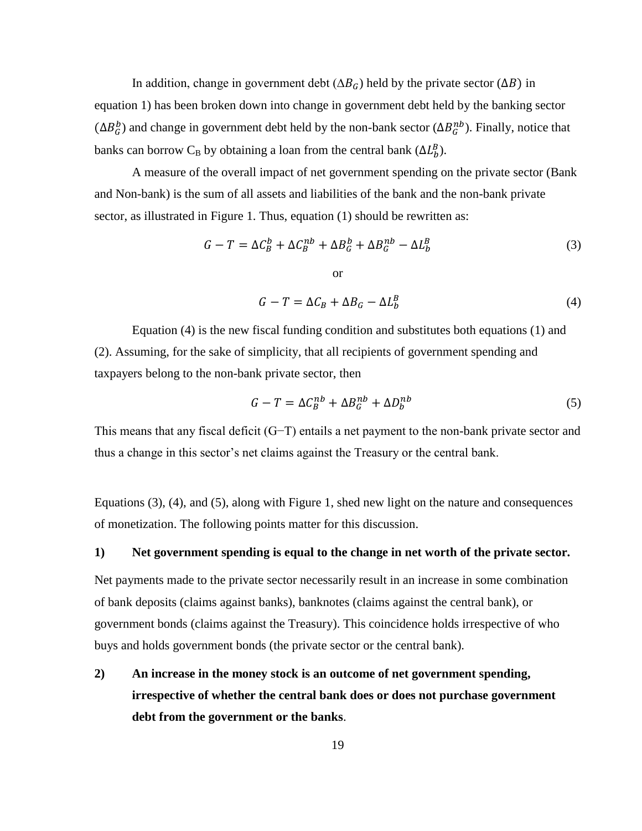In addition, change in government debt ( $\Delta B_G$ ) held by the private sector ( $\Delta B$ ) in equation 1) has been broken down into change in government debt held by the banking sector  $(\Delta B_G^b)$  and change in government debt held by the non-bank sector  $(\Delta B_G^{nb})$ . Finally, notice that banks can borrow C<sub>B</sub> by obtaining a loan from the central bank  $(\Delta L_b^B)$ .

A measure of the overall impact of net government spending on the private sector (Bank and Non-bank) is the sum of all assets and liabilities of the bank and the non-bank private sector, as illustrated in Figure 1. Thus, equation (1) should be rewritten as:

$$
G - T = \Delta C_B^b + \Delta C_B^{nb} + \Delta B_G^b + \Delta B_G^{nb} - \Delta L_b^B
$$
 (3)

$$
G - T = \Delta C_B + \Delta B_G - \Delta L_b^B \tag{4}
$$

Equation (4) is the new fiscal funding condition and substitutes both equations (1) and (2). Assuming, for the sake of simplicity, that all recipients of government spending and taxpayers belong to the non-bank private sector, then

$$
G - T = \Delta C_B^{nb} + \Delta B_G^{nb} + \Delta D_b^{nb}
$$
 (5)

This means that any fiscal deficit (G−T) entails a net payment to the non-bank private sector and thus a change in this sector's net claims against the Treasury or the central bank.

Equations (3), (4), and (5), along with Figure 1, shed new light on the nature and consequences of monetization. The following points matter for this discussion.

#### **1) Net government spending is equal to the change in net worth of the private sector.**

Net payments made to the private sector necessarily result in an increase in some combination of bank deposits (claims against banks), banknotes (claims against the central bank), or government bonds (claims against the Treasury). This coincidence holds irrespective of who buys and holds government bonds (the private sector or the central bank).

**2) An increase in the money stock is an outcome of net government spending, irrespective of whether the central bank does or does not purchase government debt from the government or the banks**.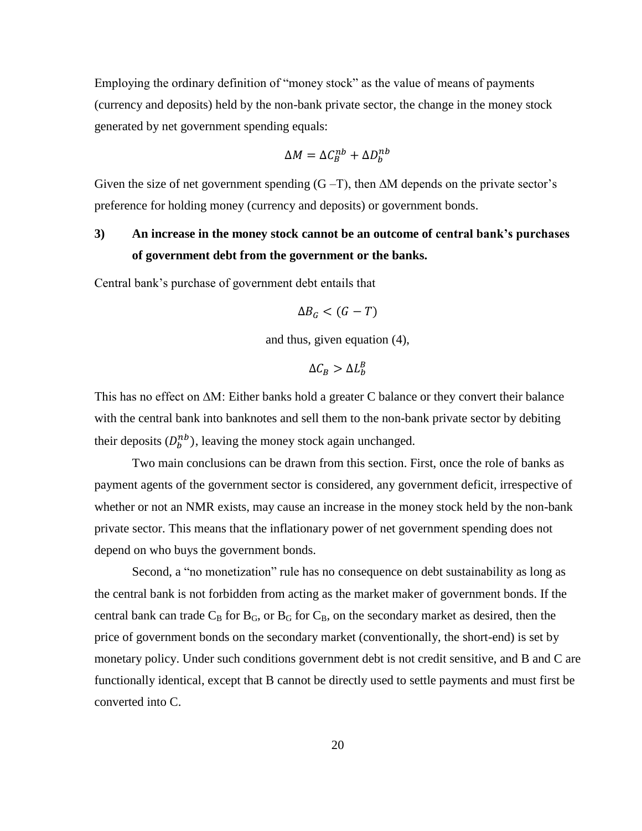Employing the ordinary definition of "money stock" as the value of means of payments (currency and deposits) held by the non-bank private sector, the change in the money stock generated by net government spending equals:

$$
\Delta M = \Delta C_R^{nb} + \Delta D_h^{nb}
$$

Given the size of net government spending  $(G-T)$ , then  $\Delta M$  depends on the private sector's preference for holding money (currency and deposits) or government bonds.

# **3) An increase in the money stock cannot be an outcome of central bank's purchases of government debt from the government or the banks.**

Central bank's purchase of government debt entails that

$$
\Delta B_G < (G - T)
$$

and thus, given equation (4),

$$
\Delta \mathcal{C}_B > \Delta L_b^B
$$

This has no effect on ∆M: Either banks hold a greater C balance or they convert their balance with the central bank into banknotes and sell them to the non-bank private sector by debiting their deposits  $(D_h^{nb})$ , leaving the money stock again unchanged.

Two main conclusions can be drawn from this section. First, once the role of banks as payment agents of the government sector is considered, any government deficit, irrespective of whether or not an NMR exists, may cause an increase in the money stock held by the non-bank private sector. This means that the inflationary power of net government spending does not depend on who buys the government bonds.

Second, a "no monetization" rule has no consequence on debt sustainability as long as the central bank is not forbidden from acting as the market maker of government bonds. If the central bank can trade  $C_B$  for  $B_G$ , or  $B_G$  for  $C_B$ , on the secondary market as desired, then the price of government bonds on the secondary market (conventionally, the short-end) is set by monetary policy. Under such conditions government debt is not credit sensitive, and B and C are functionally identical, except that B cannot be directly used to settle payments and must first be converted into C.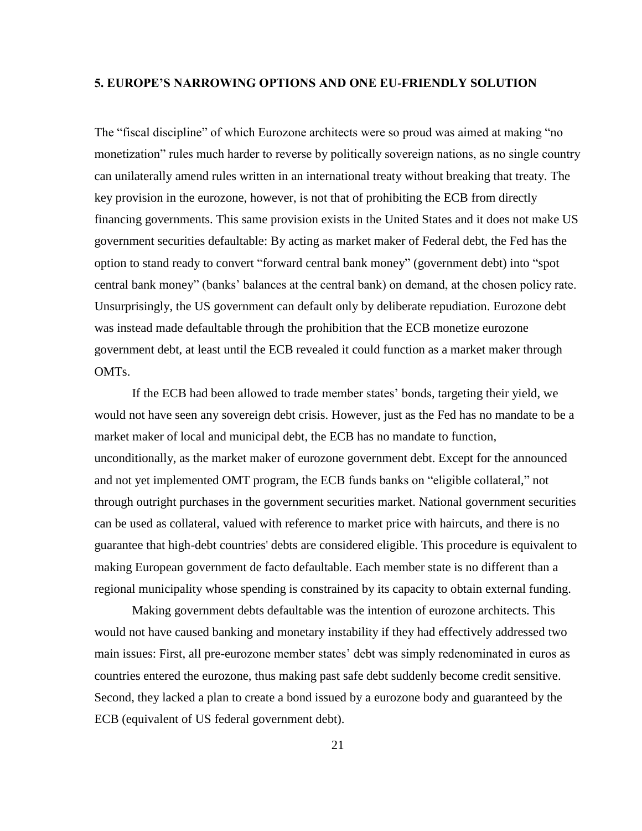### **5. EUROPE'S NARROWING OPTIONS AND ONE EU-FRIENDLY SOLUTION**

The "fiscal discipline" of which Eurozone architects were so proud was aimed at making "no monetization" rules much harder to reverse by politically sovereign nations, as no single country can unilaterally amend rules written in an international treaty without breaking that treaty. The key provision in the eurozone, however, is not that of prohibiting the ECB from directly financing governments. This same provision exists in the United States and it does not make US government securities defaultable: By acting as market maker of Federal debt, the Fed has the option to stand ready to convert "forward central bank money" (government debt) into "spot central bank money" (banks' balances at the central bank) on demand, at the chosen policy rate. Unsurprisingly, the US government can default only by deliberate repudiation. Eurozone debt was instead made defaultable through the prohibition that the ECB monetize eurozone government debt, at least until the ECB revealed it could function as a market maker through OMTs.

If the ECB had been allowed to trade member states' bonds, targeting their yield, we would not have seen any sovereign debt crisis. However, just as the Fed has no mandate to be a market maker of local and municipal debt, the ECB has no mandate to function, unconditionally, as the market maker of eurozone government debt. Except for the announced and not yet implemented OMT program, the ECB funds banks on "eligible collateral," not through outright purchases in the government securities market. National government securities can be used as collateral, valued with reference to market price with haircuts, and there is no guarantee that high-debt countries' debts are considered eligible. This procedure is equivalent to making European government de facto defaultable. Each member state is no different than a regional municipality whose spending is constrained by its capacity to obtain external funding.

Making government debts defaultable was the intention of eurozone architects. This would not have caused banking and monetary instability if they had effectively addressed two main issues: First, all pre-eurozone member states' debt was simply redenominated in euros as countries entered the eurozone, thus making past safe debt suddenly become credit sensitive. Second, they lacked a plan to create a bond issued by a eurozone body and guaranteed by the ECB (equivalent of US federal government debt).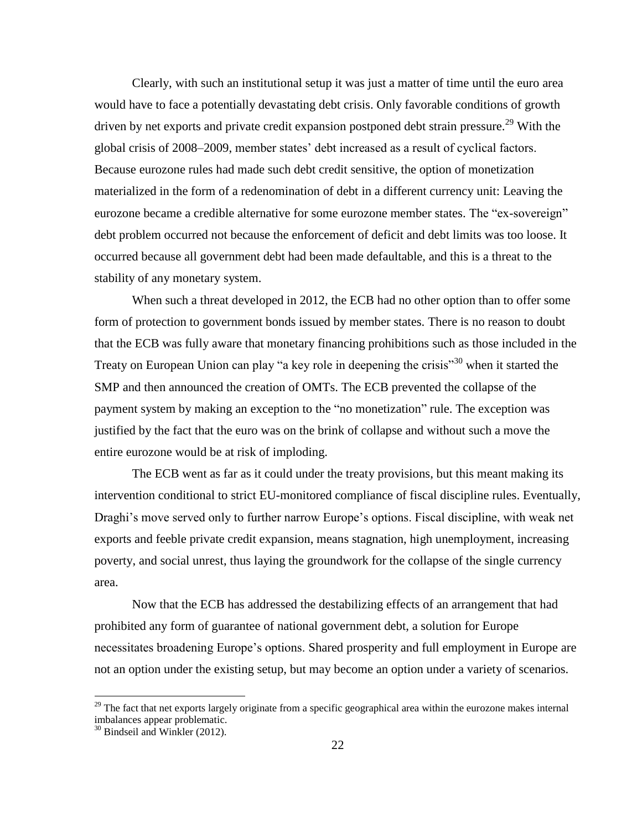Clearly, with such an institutional setup it was just a matter of time until the euro area would have to face a potentially devastating debt crisis. Only favorable conditions of growth driven by net exports and private credit expansion postponed debt strain pressure.<sup>29</sup> With the global crisis of 2008–2009, member states' debt increased as a result of cyclical factors. Because eurozone rules had made such debt credit sensitive, the option of monetization materialized in the form of a redenomination of debt in a different currency unit: Leaving the eurozone became a credible alternative for some eurozone member states. The "ex-sovereign" debt problem occurred not because the enforcement of deficit and debt limits was too loose. It occurred because all government debt had been made defaultable, and this is a threat to the stability of any monetary system.

When such a threat developed in 2012, the ECB had no other option than to offer some form of protection to government bonds issued by member states. There is no reason to doubt that the ECB was fully aware that monetary financing prohibitions such as those included in the Treaty on European Union can play "a key role in deepening the crisis"<sup>30</sup> when it started the SMP and then announced the creation of [OMTs.](http://en.wikipedia.org/wiki/Outright_Monetary_Transactions) The ECB prevented the collapse of the payment system by making an exception to the "no monetization" rule. The exception was justified by the fact that the euro was on the brink of collapse and without such a move the entire eurozone would be at risk of imploding.

The ECB went as far as it could under the treaty provisions, but this meant making its intervention conditional to strict EU-monitored compliance of fiscal discipline rules. Eventually, Draghi's move served only to further narrow Europe's options. Fiscal discipline, with weak net exports and feeble private credit expansion, means stagnation, high unemployment, increasing poverty, and social unrest, thus laying the groundwork for the collapse of the single currency area.

Now that the ECB has addressed the destabilizing effects of an arrangement that had prohibited any form of guarantee of national government debt, a solution for Europe necessitates broadening Europe's options. Shared prosperity and full employment in Europe are not an option under the existing setup, but may become an option under a variety of scenarios.

 $29$  The fact that net exports largely originate from a specific geographical area within the eurozone makes internal imbalances appear problematic.

<sup>&</sup>lt;sup>30</sup> Bindseil and Winkler (2012).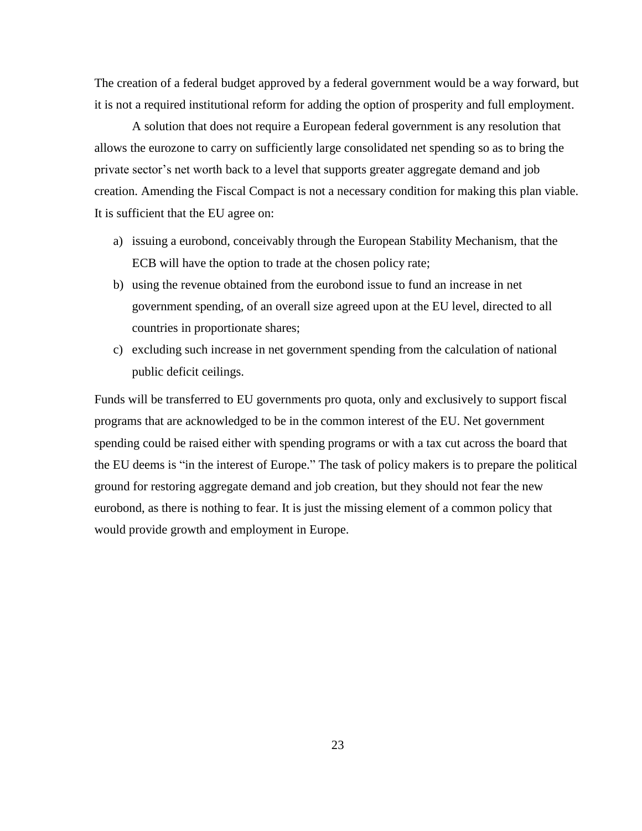The creation of a federal budget approved by a federal government would be a way forward, but it is not a required institutional reform for adding the option of prosperity and full employment.

A solution that does not require a European federal government is any resolution that allows the eurozone to carry on sufficiently large consolidated net spending so as to bring the private sector's net worth back to a level that supports greater aggregate demand and job creation. Amending the Fiscal Compact is not a necessary condition for making this plan viable. It is sufficient that the EU agree on:

- a) issuing a eurobond, conceivably through the European Stability Mechanism, that the ECB will have the option to trade at the chosen policy rate;
- b) using the revenue obtained from the eurobond issue to fund an increase in net government spending, of an overall size agreed upon at the EU level, directed to all countries in proportionate shares;
- c) excluding such increase in net government spending from the calculation of national public deficit ceilings.

Funds will be transferred to EU governments pro quota, only and exclusively to support fiscal programs that are acknowledged to be in the common interest of the EU. Net government spending could be raised either with spending programs or with a tax cut across the board that the EU deems is "in the interest of Europe." The task of policy makers is to prepare the political ground for restoring aggregate demand and job creation, but they should not fear the new eurobond, as there is nothing to fear. It is just the missing element of a common policy that would provide growth and employment in Europe.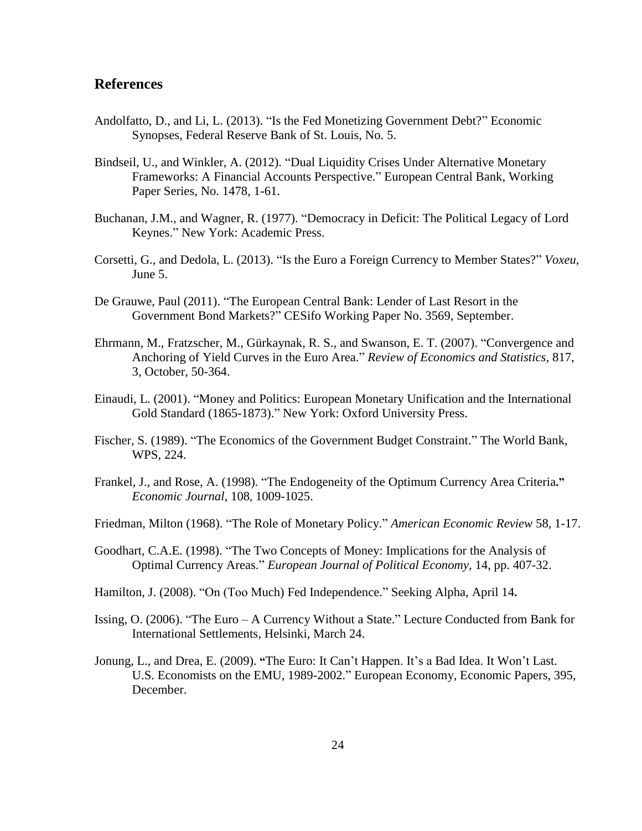### **References**

- Andolfatto, D., and Li, L. (2013). "Is the Fed Monetizing Government Debt?" [Economic](http://ideas.repec.org/s/fip/fedles.html)  [Synopses,](http://ideas.repec.org/s/fip/fedles.html) Federal Reserve Bank of St. Louis, No. 5.
- Bindseil, U., and Winkler, A. (2012). "Dual Liquidity Crises Under Alternative Monetary Frameworks: A Financial Accounts Perspective." European Central Bank, Working Paper Series, No. 1478, 1-61.
- Buchanan, J.M., and Wagner, R. (1977). "Democracy in Deficit: The Political Legacy of Lord Keynes." New York: Academic Press.
- Corsetti, G., and Dedola, L. (2013). "Is the Euro a Foreign Currency to Member States?" *Voxeu*, June 5.
- De Grauwe, Paul (2011). "The European Central Bank: Lender of Last Resort in the Government Bond Markets?" CESifo Working Paper No. 3569, September.
- Ehrmann, M., Fratzscher, M., Gürkaynak, R. S., and Swanson, E. T. (2007). "Convergence and Anchoring of Yield Curves in the Euro Area." *Review of Economics and Statistics*, 817, 3, October, 50-364.
- Einaudi, L. (2001). "Money and Politics: European Monetary Unification and the International Gold Standard (1865-1873)." New York: Oxford University Press.
- Fischer, S. (1989). "The Economics of the Government Budget Constraint." The World Bank, WPS, 224.
- Frankel, J., and Rose, A. (1998). "The Endogeneity of the Optimum Currency Area Criteria**."** *Economic Journal*, 108, 1009-1025.
- Friedman, Milton (1968). "The Role of Monetary Policy." *American Economic Review* 58, 1-17.
- Goodhart, C.A.E. (1998). "The Two Concepts of Money: Implications for the Analysis of Optimal Currency Areas." *European Journal of Political Economy*, 14, pp. 407-32.
- Hamilton, J. (2008). "On (Too Much) Fed Independence." Seeking Alpha, April 14**.**
- Issing, O. (2006). "The Euro A Currency Without a State." Lecture Conducted from Bank for International Settlements, Helsinki, March 24.
- Jonung, L., and Drea, E. (2009). **"**The Euro: It Can't Happen. It's a Bad Idea. It Won't Last. U.S. Economists on the EMU, 1989-2002." European Economy, Economic Papers, 395, December.